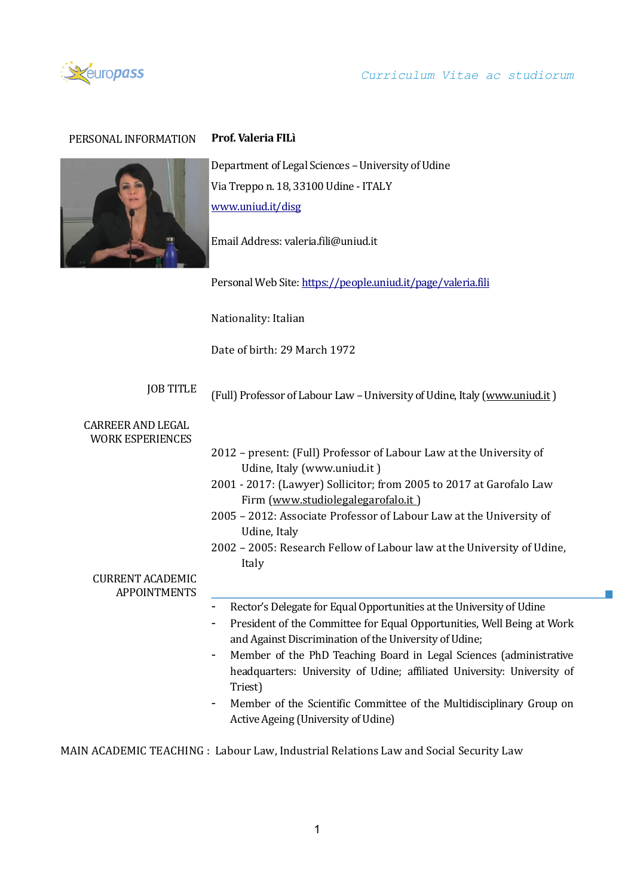

# *Curriculum Vitae ac studiorum*

 $\mathcal{C}^{\mathcal{A}}$ 

# PERSONAL INFORMATION **Prof. Valeria FILì**



Department of Legal Sciences - University of Udine Via Treppo n. 18, 33100 Udine - ITALY [www.uniud.it/disg](http://www.uniud.it/disg)

Email Address: valeria.fili@uniud.it

Personal Web Site[: https://people.uniud.it/page/valeria.fili](https://people.uniud.it/page/valeria.fili)

Nationality: Italian

Date of birth: 29 March 1972

JOB TITLE (Full) Professor of Labour Law - University of Udine, Italy [\(www.uniud.it](http://www.uniud.it/))

#### CARREER AND LEGAL WORK ESPERIENCES

| WUKK ESPEKIENCES                               |                                                                                                        |
|------------------------------------------------|--------------------------------------------------------------------------------------------------------|
|                                                | 2012 – present: (Full) Professor of Labour Law at the University of                                    |
|                                                | Udine, Italy (www.uniud.it)                                                                            |
|                                                | 2001 - 2017: (Lawyer) Sollicitor; from 2005 to 2017 at Garofalo Law                                    |
|                                                | Firm (www.studiolegalegarofalo.it)                                                                     |
|                                                | 2005 - 2012: Associate Professor of Labour Law at the University of                                    |
|                                                | Udine, Italy                                                                                           |
|                                                | 2002 – 2005: Research Fellow of Labour law at the University of Udine,                                 |
|                                                | Italy                                                                                                  |
| <b>CURRENT ACADEMIC</b><br><b>APPOINTMENTS</b> |                                                                                                        |
|                                                | Rector's Delegate for Equal Opportunities at the University of Udine                                   |
|                                                | President of the Committee for Equal Opportunities, Well Being at Work<br>$\qquad \qquad \blacksquare$ |
|                                                | and Against Discrimination of the University of Udine;                                                 |
|                                                | Member of the PhD Teaching Board in Legal Sciences (administrative<br>$\blacksquare$                   |
|                                                | headquarters: University of Udine; affiliated University: University of                                |
|                                                | Triest)                                                                                                |
|                                                | Member of the Scientific Committee of the Multidisciplinary Group on<br>$\overline{\phantom{a}}$       |
|                                                | Active Ageing (University of Udine)                                                                    |

MAIN ACADEMIC TEACHING : Labour Law, Industrial Relations Law and Social Security Law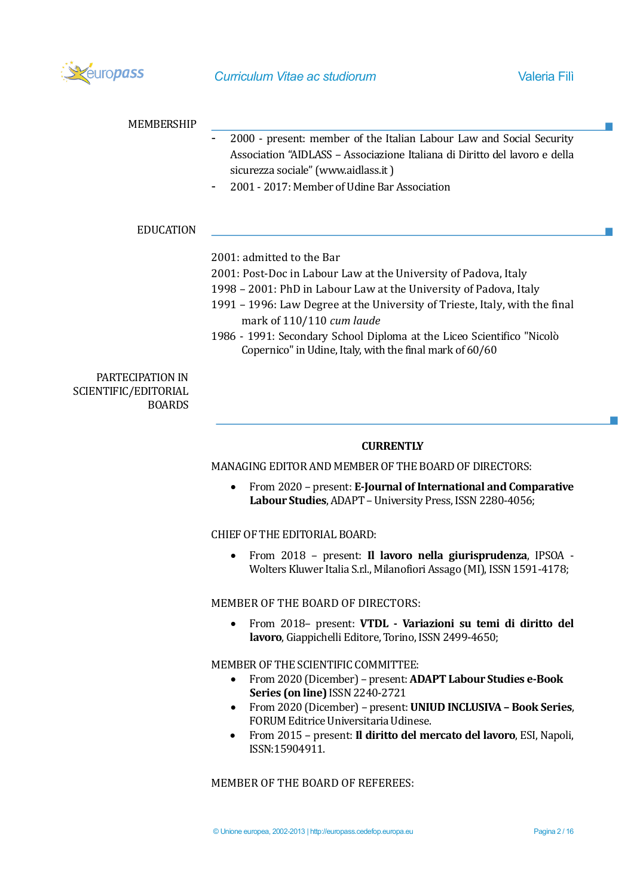

| <b>MEMBERSHIP</b>                                         |                                                                                                                                                                                                                                           |
|-----------------------------------------------------------|-------------------------------------------------------------------------------------------------------------------------------------------------------------------------------------------------------------------------------------------|
|                                                           | 2000 - present: member of the Italian Labour Law and Social Security<br>Association "AIDLASS - Associazione Italiana di Diritto del lavoro e della<br>sicurezza sociale" (www.aidlass.it)<br>2001 - 2017: Member of Udine Bar Association |
|                                                           |                                                                                                                                                                                                                                           |
| <b>EDUCATION</b>                                          |                                                                                                                                                                                                                                           |
|                                                           | 2001: admitted to the Bar                                                                                                                                                                                                                 |
|                                                           | 2001: Post-Doc in Labour Law at the University of Padova, Italy                                                                                                                                                                           |
|                                                           | 1998 - 2001: PhD in Labour Law at the University of Padova, Italy                                                                                                                                                                         |
|                                                           | 1991 - 1996: Law Degree at the University of Trieste, Italy, with the final<br>mark of 110/110 cum laude                                                                                                                                  |
|                                                           | 1986 - 1991: Secondary School Diploma at the Liceo Scientifico "Nicolò<br>Copernico" in Udine, Italy, with the final mark of 60/60                                                                                                        |
| PARTECIPATION IN<br>SCIENTIFIC/EDITORIAL<br><b>BOARDS</b> |                                                                                                                                                                                                                                           |
|                                                           | <b>CURRENTLY</b>                                                                                                                                                                                                                          |
|                                                           | MANAGING EDITOR AND MEMBER OF THE BOARD OF DIRECTORS:                                                                                                                                                                                     |
|                                                           | From 2020 - present: E-Journal of International and Comparative<br>٠<br>Labour Studies, ADAPT - University Press, ISSN 2280-4056;                                                                                                         |
|                                                           | <b>CHIEF OF THE EDITORIAL BOARD:</b>                                                                                                                                                                                                      |
|                                                           | From 2018 - present: Il lavoro nella giurisprudenza, IPSOA -<br>Wolters Kluwer Italia S.r.l., Milanofiori Assago (MI), ISSN 1591-4178;                                                                                                    |

# MEMBER OF THE BOARD OF DIRECTORS:

• From 2018– present: **VTDL - Variazioni su temi di diritto del lavoro**, Giappichelli Editore, Torino, ISSN 2499-4650;

# MEMBER OF THE SCIENTIFIC COMMITTEE:

- From 2020 (Dicember) present: **ADAPT Labour Studies e-Book Series (on line)** ISSN 2240-2721
- From 2020 (Dicember) present: **UNIUD INCLUSIVA – Book Series**, FORUM Editrice Universitaria Udinese.
- From 2015 present: **Il diritto del mercato del lavoro**, ESI, Napoli, ISSN:15904911.

MEMBER OF THE BOARD OF REFEREES: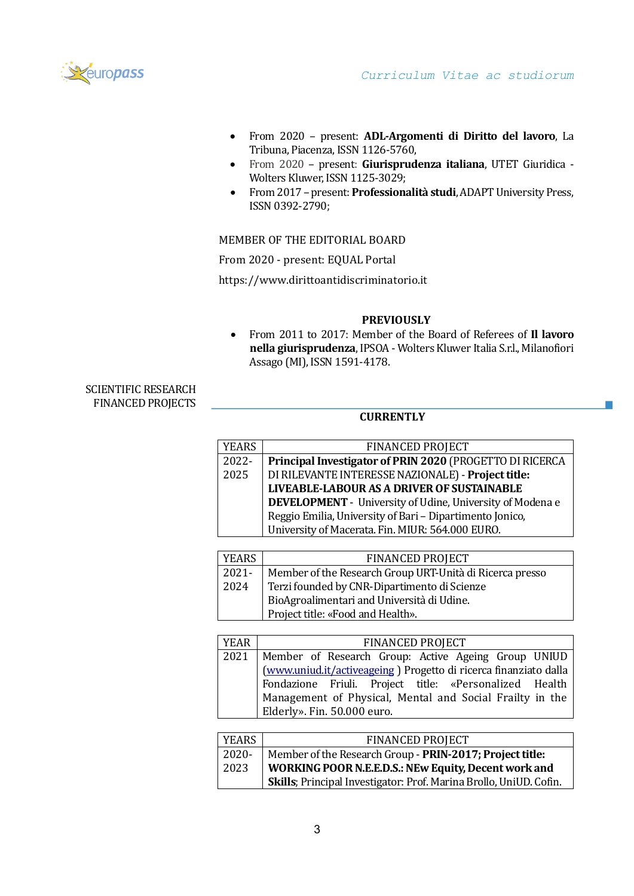

У.

- From 2020 present: **ADL-Argomenti di Diritto del lavoro**, La Tribuna, Piacenza, ISSN 1126-5760,
- From 2020 present: **Giurisprudenza italiana**, UTET Giuridica Wolters Kluwer, ISSN 1125-3029;
- From 2017 –present: **Professionalità studi**, ADAPT University Press, ISSN 0392-2790;

# MEMBER OF THE EDITORIAL BOARD

From 2020 - present: EQUAL Portal

https://www.dirittoantidiscriminatorio.it

## **PREVIOUSLY**

• From 2011 to 2017: Member of the Board of Referees of **Il lavoro nella giurisprudenza**, IPSOA - Wolters Kluwer Italia S.r.l., Milanofiori Assago (MI), ISSN 1591-4178.

# SCIENTIFIC RESEARCH FINANCED PROJECTS

# **CURRENTLY**

| YEARS | <b>FINANCED PROJECT</b>                                   |
|-------|-----------------------------------------------------------|
| 2022- | Principal Investigator of PRIN 2020 (PROGETTO DI RICERCA  |
| 2025  | DI RILEVANTE INTERESSE NAZIONALE) - Project title:        |
|       | LIVEABLE-LABOUR AS A DRIVER OF SUSTAINABLE                |
|       | DEVELOPMENT - University of Udine, University of Modena e |
|       | Reggio Emilia, University of Bari - Dipartimento Jonico,  |
|       | University of Macerata. Fin. MIUR: 564.000 EURO.          |

| <b>YEARS</b> | <b>FINANCED PROJECT</b>                                  |
|--------------|----------------------------------------------------------|
| $2021 -$     | Member of the Research Group URT-Unità di Ricerca presso |
| 2024         | Terzi founded by CNR-Dipartimento di Scienze             |
|              | BioAgroalimentari and Università di Udine.               |
|              | Project title: «Food and Health».                        |

| YEAR | <b>FINANCED PROJECT</b>                                          |
|------|------------------------------------------------------------------|
|      | 2021   Member of Research Group: Active Ageing Group UNIUD       |
|      | (www.uniud.it/activeageing) Progetto di ricerca finanziato dalla |
|      | Fondazione Friuli. Project title: «Personalized Health           |
|      | Management of Physical, Mental and Social Frailty in the         |
|      | Elderly». Fin. 50.000 euro.                                      |

| YEARS    | <b>FINANCED PROJECT</b>                                                    |
|----------|----------------------------------------------------------------------------|
| $2020 -$ | Member of the Research Group - PRIN-2017; Project title:                   |
| 2023     | <b>WORKING POOR N.E.E.D.S.: NEw Equity, Decent work and</b>                |
|          | <b>Skills</b> ; Principal Investigator: Prof. Marina Brollo, UniUD. Cofin. |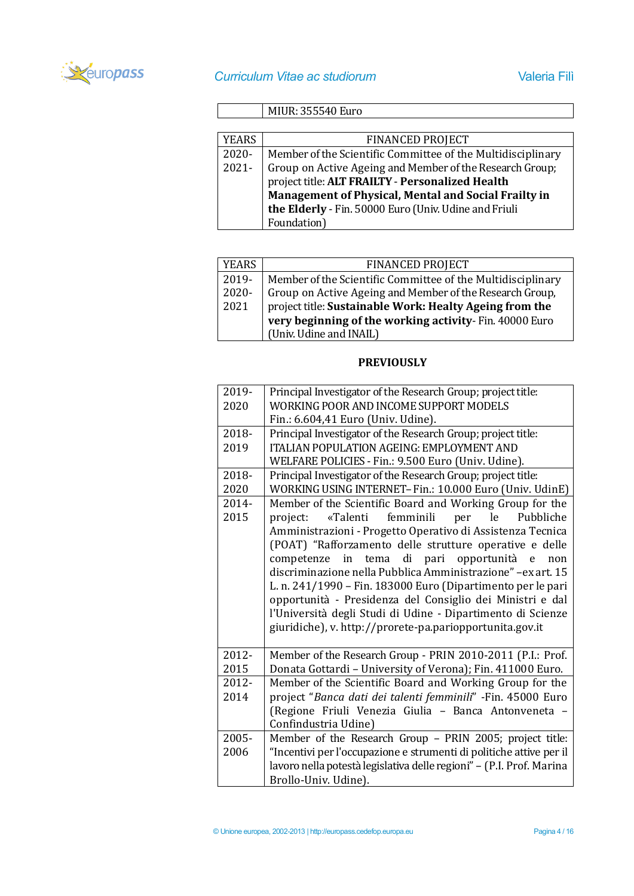

# MIUR: 355540 Euro

| YEARS    | <b>FINANCED PROJECT</b>                                     |
|----------|-------------------------------------------------------------|
| $2020 -$ | Member of the Scientific Committee of the Multidisciplinary |
| $2021 -$ | Group on Active Ageing and Member of the Research Group;    |
|          | project title: ALT FRAILTY - Personalized Health            |
|          | Management of Physical, Mental and Social Frailty in        |
|          | the Elderly - Fin. 50000 Euro (Univ. Udine and Friuli       |
|          | Foundation)                                                 |

| <b>YEARS</b> | <b>FINANCED PROJECT</b>                                     |
|--------------|-------------------------------------------------------------|
| 2019-        | Member of the Scientific Committee of the Multidisciplinary |
| 2020-        | Group on Active Ageing and Member of the Research Group,    |
| 2021         | project title: Sustainable Work: Healty Ageing from the     |
|              | very beginning of the working activity-Fin. 40000 Euro      |
|              | (Univ. Udine and INAIL)                                     |

# **PREVIOUSLY**

| 2019- | Principal Investigator of the Research Group; project title:         |
|-------|----------------------------------------------------------------------|
| 2020  | WORKING POOR AND INCOME SUPPORT MODELS                               |
|       | Fin.: 6.604,41 Euro (Univ. Udine).                                   |
| 2018- | Principal Investigator of the Research Group; project title:         |
| 2019  | <b>ITALIAN POPULATION AGEING: EMPLOYMENT AND</b>                     |
|       | WELFARE POLICIES - Fin.: 9.500 Euro (Univ. Udine).                   |
| 2018- | Principal Investigator of the Research Group; project title:         |
| 2020  | WORKING USING INTERNET- Fin.: 10.000 Euro (Univ. UdinE)              |
| 2014- | Member of the Scientific Board and Working Group for the             |
| 2015  | femminili<br>le<br>«Talenti<br>per<br>Pubbliche<br>project:          |
|       | Amministrazioni - Progetto Operativo di Assistenza Tecnica           |
|       | (POAT) "Rafforzamento delle strutture operative e delle              |
|       | competenze in tema di pari opportunità e<br>non                      |
|       | discriminazione nella Pubblica Amministrazione" -ex art. 15          |
|       | L. n. 241/1990 – Fin. 183000 Euro (Dipartimento per le pari          |
|       | opportunità - Presidenza del Consiglio dei Ministri e dal            |
|       | l'Università degli Studi di Udine - Dipartimento di Scienze          |
|       | giuridiche), v. http://prorete-pa.pariopportunita.gov.it             |
|       |                                                                      |
| 2012- | Member of the Research Group - PRIN 2010-2011 (P.I.: Prof.           |
| 2015  | Donata Gottardi - University of Verona); Fin. 411000 Euro.           |
| 2012- | Member of the Scientific Board and Working Group for the             |
| 2014  | project "Banca dati dei talenti femminili" -Fin. 45000 Euro          |
|       | (Regione Friuli Venezia Giulia - Banca Antonveneta -                 |
|       | Confindustria Udine)                                                 |
| 2005- | Member of the Research Group - PRIN 2005; project title:             |
| 2006  | "Incentivi per l'occupazione e strumenti di politiche attive per il  |
|       | lavoro nella potestà legislativa delle regioni" - (P.I. Prof. Marina |
|       | Brollo-Univ. Udine).                                                 |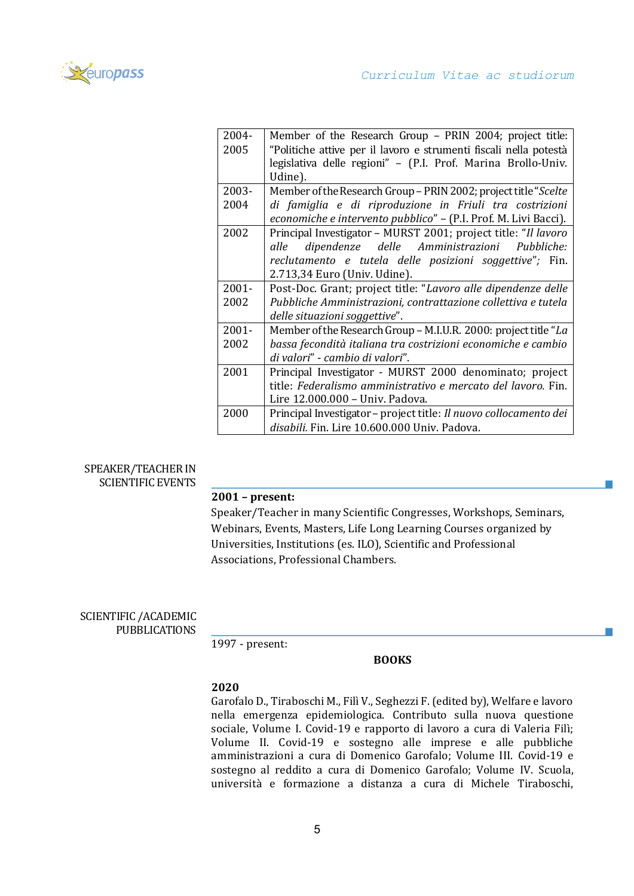

| 2004-    | Member of the Research Group - PRIN 2004; project title:          |
|----------|-------------------------------------------------------------------|
| 2005     | "Politiche attive per il lavoro e strumenti fiscali nella potestà |
|          | legislativa delle regioni" - (P.I. Prof. Marina Brollo-Univ.      |
|          | Udine).                                                           |
| 2003-    | Member of the Research Group - PRIN 2002; project title "Scelte"  |
| 2004     | di famiglia e di riproduzione in Friuli tra costrizioni           |
|          | economiche e intervento pubblico" - (P.I. Prof. M. Livi Bacci).   |
| 2002     | Principal Investigator - MURST 2001; project title: "Il lavoro    |
|          | dipendenze delle Amministrazioni Pubbliche:<br>alle               |
|          | reclutamento e tutela delle posizioni soggettive"; Fin.           |
|          | 2.713,34 Euro (Univ. Udine).                                      |
| $2001 -$ | Post-Doc. Grant; project title: "Lavoro alle dipendenze delle     |
| 2002     | Pubbliche Amministrazioni, contrattazione collettiva e tutela     |
|          | delle situazioni soggettive".                                     |
| $2001 -$ | Member of the Research Group - M.I.U.R. 2000: project title "La   |
| 2002     | bassa fecondità italiana tra costrizioni economiche e cambio      |
|          | di valori" - cambio di valori".                                   |
| 2001     | Principal Investigator - MURST 2000 denominato; project           |
|          | title: Federalismo amministrativo e mercato del lavoro. Fin.      |
|          | Lire 12.000.000 - Univ. Padova.                                   |
| 2000     | Principal Investigator - project title: Il nuovo collocamento dei |
|          | disabili. Fin. Lire 10.600.000 Univ. Padova.                      |

## SPEAKER/TEACHER IN SCIENTIFIC EVENTS

# **2001 – present:**

Speaker/Teacher in many Scientific Congresses, Workshops, Seminars, Webinars, Events, Masters, Life Long Learning Courses organized by Universities, Institutions (es. ILO), Scientific and Professional Associations, Professional Chambers.

# SCIENTIFIC /ACADEMIC PUBBLICATIONS

1997 - present:

#### **BOOKS**

# **2020**

Garofalo D., Tiraboschi M., Filì V., Seghezzi F. (edited by), Welfare e lavoro nella emergenza epidemiologica. Contributo sulla nuova questione sociale, Volume I. Covid-19 e rapporto di lavoro a cura di Valeria Filì; Volume II. Covid-19 e sostegno alle imprese e alle pubbliche amministrazioni a cura di Domenico Garofalo; Volume III. Covid-19 e sostegno al reddito a cura di Domenico Garofalo; Volume IV. Scuola, universita e formazione a distanza a cura di Michele Tiraboschi,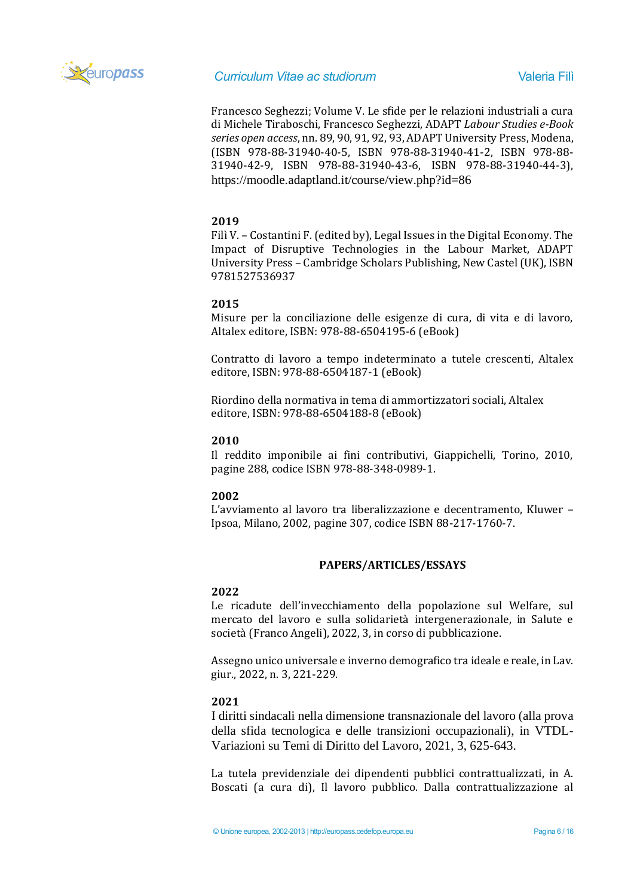

Francesco Seghezzi; Volume V. Le sfide per le relazioni industriali a cura di Michele Tiraboschi, Francesco Seghezzi, ADAPT *Labour Studies e-Book series open access*, nn. 89, 90, 91, 92, 93, ADAPT University Press, Modena, (ISBN 978-88-31940-40-5, ISBN 978-88-31940-41-2, ISBN 978-88- 31940-42-9, ISBN 978-88-31940-43-6, ISBN 978-88-31940-44-3), <https://moodle.adaptland.it/course/view.php?id=86>

# **2019**

Filì V. – Costantini F. (edited by), Legal Issues in the Digital Economy. The Impact of Disruptive Technologies in the Labour Market, ADAPT University Press – Cambridge Scholars Publishing, New Castel (UK), ISBN 9781527536937

# **2015**

Misure per la conciliazione delle esigenze di cura, di vita e di lavoro, Altalex editore, ISBN: 978-88-6504195-6 (eBook)

Contratto di lavoro a tempo indeterminato a tutele crescenti, Altalex editore, ISBN: 978-88-6504187-1 (eBook)

Riordino della normativa in tema di ammortizzatori sociali, Altalex editore, ISBN: 978-88-6504188-8 (eBook)

# **2010**

Il reddito imponibile ai fini contributivi, Giappichelli, Torino, 2010, pagine 288, codice ISBN 978-88-348-0989-1.

# **2002**

L'avviamento al lavoro tra liberalizzazione e decentramento, Kluwer – Ipsoa, Milano, 2002, pagine 307, codice ISBN 88-217-1760-7.

# **PAPERS/ARTICLES/ESSAYS**

# **2022**

Le ricadute dell'invecchiamento della popolazione sul Welfare, sul mercato del lavoro e sulla solidarietà intergenerazionale, in Salute e società (Franco Angeli), 2022, 3, in corso di pubblicazione.

Assegno unico universale e inverno demografico tra ideale e reale, in Lav. giur., 2022, n. 3, 221-229.

# **2021**

I diritti sindacali nella dimensione transnazionale del lavoro (alla prova della sfida tecnologica e delle transizioni occupazionali), in VTDL-Variazioni su Temi di Diritto del Lavoro, 2021, 3, 625-643.

La tutela previdenziale dei dipendenti pubblici contrattualizzati, in A. Boscati (a cura di), Il lavoro pubblico. Dalla contrattualizzazione al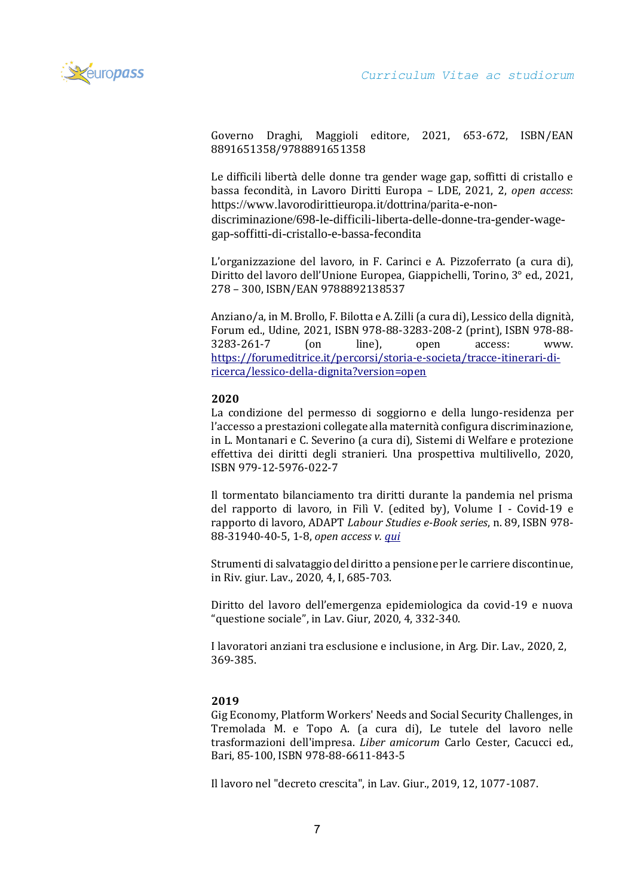

Governo Draghi, Maggioli editore, 2021, 653-672, ISBN/EAN 8891651358/9788891651358

Le difficili libertà delle donne tra gender wage gap, soffitti di cristallo e bassa fecondità, in Lavoro Diritti Europa – LDE, 2021, 2, *open access*: [https://www.lavorodirittieuropa.it/dottrina/parita-e-non-](https://www.lavorodirittieuropa.it/dottrina/parita-e-non-discriminazione/698-le-difficili-liberta-delle-donne-tra-gender-wage-gap-soffitti-di-cristallo-e-bassa-fecondita)

[discriminazione/698-le-difficili-liberta-delle-donne-tra-gender-wage](https://www.lavorodirittieuropa.it/dottrina/parita-e-non-discriminazione/698-le-difficili-liberta-delle-donne-tra-gender-wage-gap-soffitti-di-cristallo-e-bassa-fecondita)[gap-soffitti-di-cristallo-e-bassa-fecondita](https://www.lavorodirittieuropa.it/dottrina/parita-e-non-discriminazione/698-le-difficili-liberta-delle-donne-tra-gender-wage-gap-soffitti-di-cristallo-e-bassa-fecondita)

L'organizzazione del lavoro, in F. Carinci e A. Pizzoferrato (a cura di), Diritto del lavoro dell'Unione Europea, Giappichelli, Torino, 3° ed., 2021, 278 – 300, ISBN/EAN 9788892138537

Anziano/a, in M. Brollo, F. Bilotta e A. Zilli (a cura di), Lessico della dignità, Forum ed., Udine, 2021, ISBN 978-88-3283-208-2 (print), ISBN 978-88- 3283-261-7 (on line), open access: www. [https://forumeditrice.it/percorsi/storia-e-societa/tracce-itinerari-di](https://forumeditrice.it/percorsi/storia-e-societa/tracce-itinerari-di-ricerca/lessico-della-dignita?version=open)[ricerca/lessico-della-dignita?version=open](https://forumeditrice.it/percorsi/storia-e-societa/tracce-itinerari-di-ricerca/lessico-della-dignita?version=open)

## **2020**

La condizione del permesso di soggiorno e della lungo-residenza per l'accesso a prestazioni collegate alla maternità configura discriminazione, in L. Montanari e C. Severino (a cura di), Sistemi di Welfare e protezione effettiva dei diritti degli stranieri. Una prospettiva multilivello, 2020, ISBN 979-12-5976-022-7

Il tormentato bilanciamento tra diritti durante la pandemia nel prisma del rapporto di lavoro, in Filì V. (edited by), Volume I - Covid-19 e rapporto di lavoro, ADAPT *Labour Studies e-Book series*, n. 89, ISBN 978- 88-31940-40-5, 1-8, *open access v. [qui](https://moodle.adaptland.it/pluginfile.php/58774/mod_resource/content/1/vol_89_2020_garofalo_et_al_vol_I.pdf)*

Strumenti di salvataggio del diritto a pensione per le carriere discontinue, in Riv. giur. Lav., 2020, 4, I, 685-703.

Diritto del lavoro dell'emergenza epidemiologica da covid-19 e nuova "questione sociale", in Lav. Giur, 2020, 4, 332-340.

I lavoratori anziani tra esclusione e inclusione, in Arg. Dir. Lav., 2020, 2, 369-385.

# **2019**

Gig Economy, Platform Workers' Needs and Social Security Challenges, in Tremolada M. e Topo A. (a cura di), Le tutele del lavoro nelle trasformazioni dell'impresa. *Liber amicorum* Carlo Cester, Cacucci ed., Bari, 85-100, ISBN 978-88-6611-843-5

Il lavoro nel "decreto crescita", in Lav. Giur., 2019, 12, 1077-1087.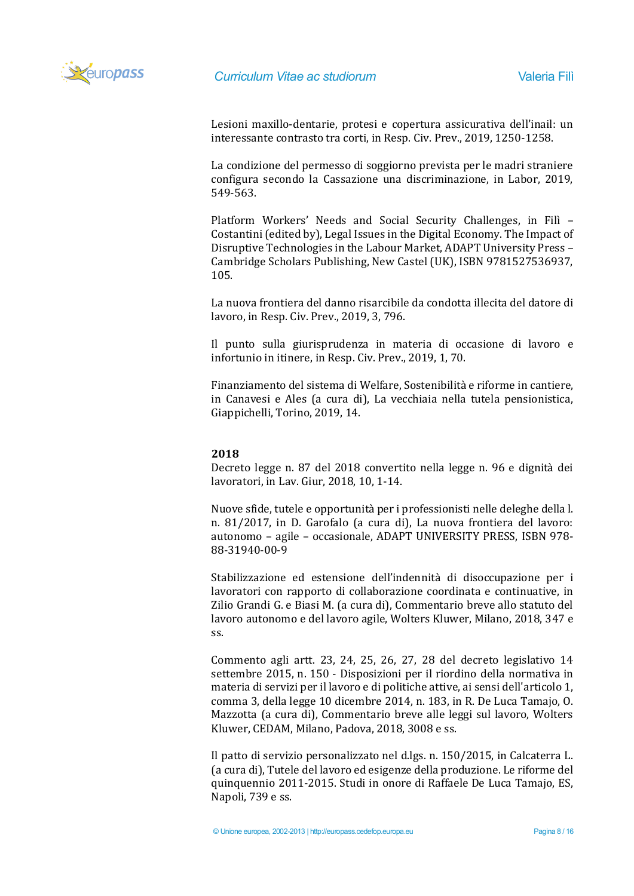

Lesioni maxillo-dentarie, protesi e copertura assicurativa dell'inail: un interessante contrasto tra corti, in Resp. Civ. Prev., 2019, 1250-1258.

La condizione del permesso di soggiorno prevista per le madri straniere configura secondo la Cassazione una discriminazione, in Labor, 2019, 549-563.

Platform Workers' Needs and Social Security Challenges, in Filì – Costantini (edited by), Legal Issues in the Digital Economy. The Impact of Disruptive Technologies in the Labour Market, ADAPT University Press – Cambridge Scholars Publishing, New Castel (UK), ISBN 9781527536937, 105.

La nuova frontiera del danno risarcibile da condotta illecita del datore di lavoro, in Resp. Civ. Prev., 2019, 3, 796.

Il punto sulla giurisprudenza in materia di occasione di lavoro e infortunio in itinere, in Resp. Civ. Prev., 2019, 1, 70.

Finanziamento del sistema di Welfare, Sostenibilità e riforme in cantiere, in Canavesi e Ales (a cura di), La vecchiaia nella tutela pensionistica, Giappichelli, Torino, 2019, 14.

#### **2018**

Decreto legge n. 87 del 2018 convertito nella legge n. 96 e dignità dei lavoratori, in Lav. Giur, 2018, 10, 1-14.

Nuove sfide, tutele e opportunità per i professionisti nelle deleghe della l. n. 81/2017, in D. Garofalo (a cura di), La nuova frontiera del lavoro: autonomo – agile – occasionale, ADAPT UNIVERSITY PRESS, ISBN 978- 88-31940-00-9

Stabilizzazione ed estensione dell'indennità di disoccupazione per i lavoratori con rapporto di collaborazione coordinata e continuative, in Zilio Grandi G. e Biasi M. (a cura di), Commentario breve allo statuto del lavoro autonomo e del lavoro agile, Wolters Kluwer, Milano, 2018, 347 e ss.

Commento agli artt. 23, 24, 25, 26, 27, 28 del decreto legislativo 14 settembre 2015, n. 150 - Disposizioni per il riordino della normativa in materia di servizi per il lavoro e di politiche attive, ai sensi dell'articolo 1, comma 3, della legge 10 dicembre 2014, n. 183, in R. De Luca Tamajo, O. Mazzotta (a cura di), Commentario breve alle leggi sul lavoro, Wolters Kluwer, CEDAM, Milano, Padova, 2018, 3008 e ss.

Il patto di servizio personalizzato nel d.lgs. n. 150/2015, in Calcaterra L. (a cura di), Tutele del lavoro ed esigenze della produzione. Le riforme del quinquennio 2011-2015. Studi in onore di Raffaele De Luca Tamajo, ES, Napoli, 739 e ss.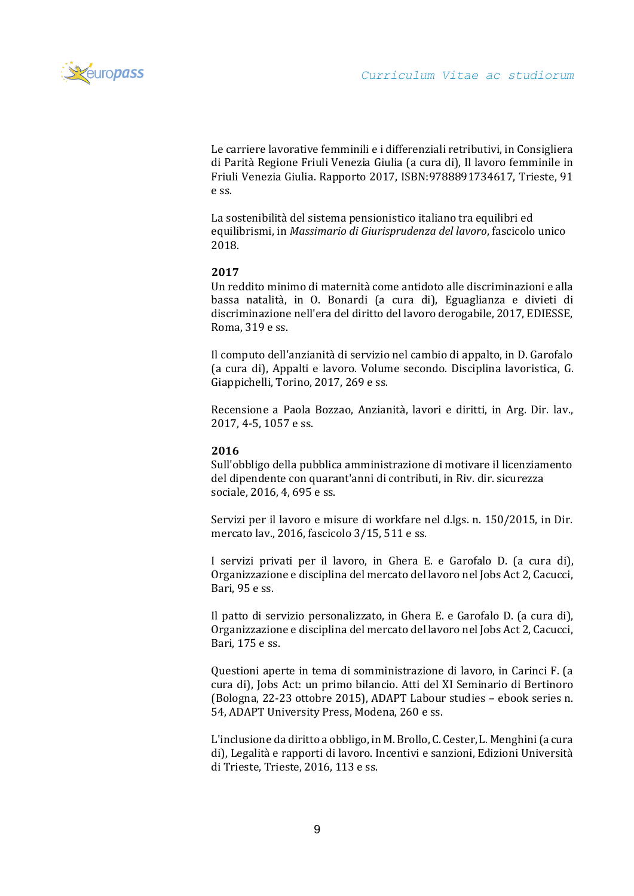

[Le carriere lavorative femminili e i differenziali retributivi, in Consigliera](https://air.uniud.it/preview-item/130703?queryId=mysubmissions&)  [di Parità Regione Friuli Venezia Giulia \(a cura di\), Il lavoro femminile in](https://air.uniud.it/preview-item/130703?queryId=mysubmissions&)  [Friuli Venezia Giulia. Rapporto 2017, ISBN:9788891734617, Trieste, 91](https://air.uniud.it/preview-item/130703?queryId=mysubmissions&)  [e ss.](https://air.uniud.it/preview-item/130703?queryId=mysubmissions&)

La sostenibilità del sistema pensionistico italiano tra equilibri ed equilibrismi, in *Massimario di Giurisprudenza del lavoro*, fascicolo unico 2018.

# **2017**

Un reddito minimo di maternità come antidoto alle discriminazioni e alla bassa natalità, in O. Bonardi (a cura di), Eguaglianza e divieti di discriminazione nell'era del diritto del lavoro derogabile, 2017, EDIESSE, Roma, 319 e ss.

Il computo dell'anzianità di servizio nel cambio di appalto, in D. Garofalo (a cura di), Appalti e lavoro. Volume secondo. Disciplina lavoristica, G. Giappichelli, Torino, 2017, 269 e ss.

Recensione a Paola Bozzao, Anzianità, lavori e diritti, in Arg. Dir. lav., 2017, 4-5, 1057 e ss.

# **2016**

Sull'obbligo della pubblica amministrazione di motivare il licenziamento del dipendente con quarant'anni di contributi, in Riv. dir. sicurezza sociale, 2016, 4, 695 e ss.

Servizi per il lavoro e misure di workfare nel d.lgs. n. 150/2015, in Dir. mercato lav., 2016, fascicolo 3/15, 511 e ss.

I servizi privati per il lavoro, in Ghera E. e Garofalo D. (a cura di), Organizzazione e disciplina del mercato del lavoro nel Jobs Act 2, Cacucci, Bari, 95 e ss.

Il patto di servizio personalizzato, in Ghera E. e Garofalo D. (a cura di), Organizzazione e disciplina del mercato del lavoro nel Jobs Act 2, Cacucci, Bari, 175 e ss.

Questioni aperte in tema di somministrazione di lavoro, in Carinci F. (a cura di), Jobs Act: un primo bilancio. Atti del XI Seminario di Bertinoro (Bologna, 22-23 ottobre 2015), ADAPT Labour studies – ebook series n. 54, ADAPT University Press, Modena, 260 e ss.

L'inclusione da diritto a obbligo, in M. Brollo, C. Cester, L. Menghini (a cura di), Legalità e rapporti di lavoro. Incentivi e sanzioni, Edizioni Università di Trieste, Trieste, 2016, 113 e ss.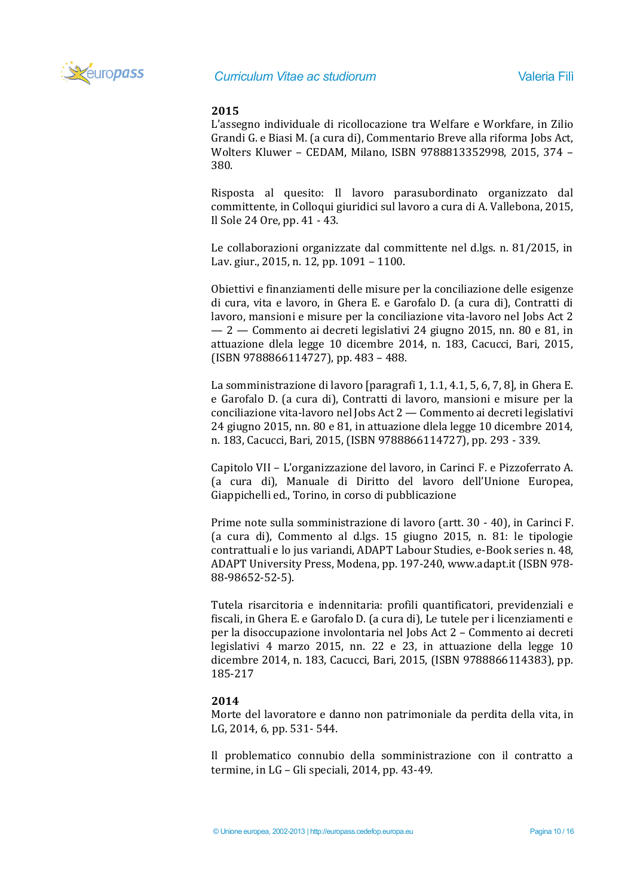

# **2015**

L'assegno individuale di ricollocazione tra Welfare e Workfare, in Zilio Grandi G. e Biasi M. (a cura di), Commentario Breve alla riforma Jobs Act, Wolters Kluwer – CEDAM, Milano, ISBN 9788813352998, 2015, 374 – 380.

Risposta al quesito: Il lavoro parasubordinato organizzato dal committente, in Colloqui giuridici sul lavoro a cura di A. Vallebona, 2015, Il Sole 24 Ore, pp. 41 - 43.

Le collaborazioni organizzate dal committente nel d.lgs. n. 81/2015, in Lav. giur., 2015, n. 12, pp. 1091 – 1100.

Obiettivi e finanziamenti delle misure per la conciliazione delle esigenze di cura, vita e lavoro, in Ghera E. e Garofalo D. (a cura di), Contratti di lavoro, mansioni e misure per la conciliazione vita-lavoro nel Jobs Act 2 — 2 — Commento ai decreti legislativi 24 giugno 2015, nn. 80 e 81, in attuazione dlela legge 10 dicembre 2014, n. 183, Cacucci, Bari, 2015, (ISBN 9788866114727), pp. 483 – 488.

La somministrazione di lavoro [paragrafi 1, 1.1, 4.1, 5, 6, 7, 8], in Ghera E. e Garofalo D. (a cura di), Contratti di lavoro, mansioni e misure per la conciliazione vita-lavoro nel Jobs Act 2 — Commento ai decreti legislativi 24 giugno 2015, nn. 80 e 81, in attuazione dlela legge 10 dicembre 2014, n. 183, Cacucci, Bari, 2015, (ISBN 9788866114727), pp. 293 - 339.

Capitolo VII – L'organizzazione del lavoro, in Carinci F. e Pizzoferrato A. (a cura di), Manuale di Diritto del lavoro dell'Unione Europea, Giappichelli ed., Torino, in corso di pubblicazione

Prime note sulla somministrazione di lavoro (artt. 30 - 40), in Carinci F. (a cura di), Commento al d.lgs. 15 giugno 2015, n. 81: le tipologie contrattuali e lo jus variandi, ADAPT Labour Studies, e-Book series n. 48, ADAPT University Press, Modena, pp. 197-240[, www.adapt.it](http://www.adapt.it/) (ISBN 978- 88-98652-52-5).

Tutela risarcitoria e indennitaria: profili quantificatori, previdenziali e fiscali, in Ghera E. e Garofalo D. (a cura di), Le tutele per i licenziamenti e per la disoccupazione involontaria nel Jobs Act 2 – Commento ai decreti legislativi 4 marzo 2015, nn. 22 e 23, in attuazione della legge 10 dicembre 2014, n. 183, Cacucci, Bari, 2015, (ISBN 9788866114383), pp. 185-217

# **2014**

Morte del lavoratore e danno non patrimoniale da perdita della vita, in LG, 2014, 6, pp. 531- 544.

Il problematico connubio della somministrazione con il contratto a termine, in LG – Gli speciali, 2014, pp. 43-49.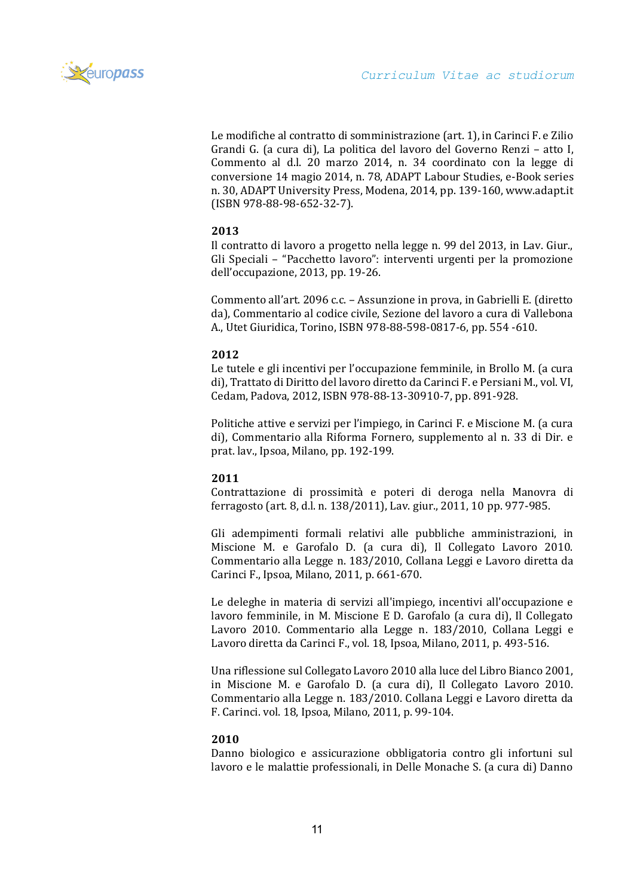

Le modifiche al contratto di somministrazione (art. 1), in Carinci F. e Zilio Grandi G. (a cura di), La politica del lavoro del Governo Renzi – atto I, Commento al d.l. 20 marzo 2014, n. 34 coordinato con la legge di conversione 14 magio 2014, n. 78, ADAPT Labour Studies, e-Book series n. 30, ADAPT University Press, Modena, 2014, pp. 139-160, [www.adapt.it](http://www.adapt.it/) (ISBN 978-88-98-652-32-7).

# **2013**

Il contratto di lavoro a progetto nella legge n. 99 del 2013, in Lav. Giur., Gli Speciali – "Pacchetto lavoro": interventi urgenti per la promozione dell'occupazione, 2013, pp. 19-26.

Commento all'art. 2096 c.c. – Assunzione in prova, in Gabrielli E. (diretto da), Commentario al codice civile, Sezione del lavoro a cura di Vallebona A., Utet Giuridica, Torino, ISBN 978-88-598-0817-6, pp. 554 -610.

# **2012**

Le tutele e gli incentivi per l'occupazione femminile, in Brollo M. (a cura di), Trattato di Diritto del lavoro diretto da Carinci F. e Persiani M., vol. VI, Cedam, Padova, 2012, ISBN 978-88-13-30910-7, pp. 891-928.

Politiche attive e servizi per l'impiego, in Carinci F. e Miscione M. (a cura di), Commentario alla Riforma Fornero, supplemento al n. 33 di Dir. e prat. lav., Ipsoa, Milano, pp. 192-199.

# **2011**

Contrattazione di prossimità e poteri di deroga nella Manovra di ferragosto (art. 8, d.l. n. 138/2011), Lav. giur., 2011, 10 pp. 977-985.

Gli adempimenti formali relativi alle pubbliche amministrazioni, in Miscione M. e Garofalo D. (a cura di), Il Collegato Lavoro 2010. Commentario alla Legge n. 183/2010, Collana Leggi e Lavoro diretta da Carinci F., Ipsoa, Milano, 2011, p. 661-670.

Le deleghe in materia di servizi all'impiego, incentivi all'occupazione e lavoro femminile, in M. Miscione E D. Garofalo (a cura di), Il Collegato Lavoro 2010. Commentario alla Legge n. 183/2010, Collana Leggi e Lavoro diretta da Carinci F., vol. 18, Ipsoa, Milano, 2011, p. 493-516.

Una riflessione sul Collegato Lavoro 2010 alla luce del Libro Bianco 2001, in Miscione M. e Garofalo D. (a cura di), Il Collegato Lavoro 2010. Commentario alla Legge n. 183/2010. Collana Leggi e Lavoro diretta da F. Carinci. vol. 18, Ipsoa, Milano, 2011, p. 99-104.

# **2010**

Danno biologico e assicurazione obbligatoria contro gli infortuni sul lavoro e le malattie professionali, in Delle Monache S. (a cura di) Danno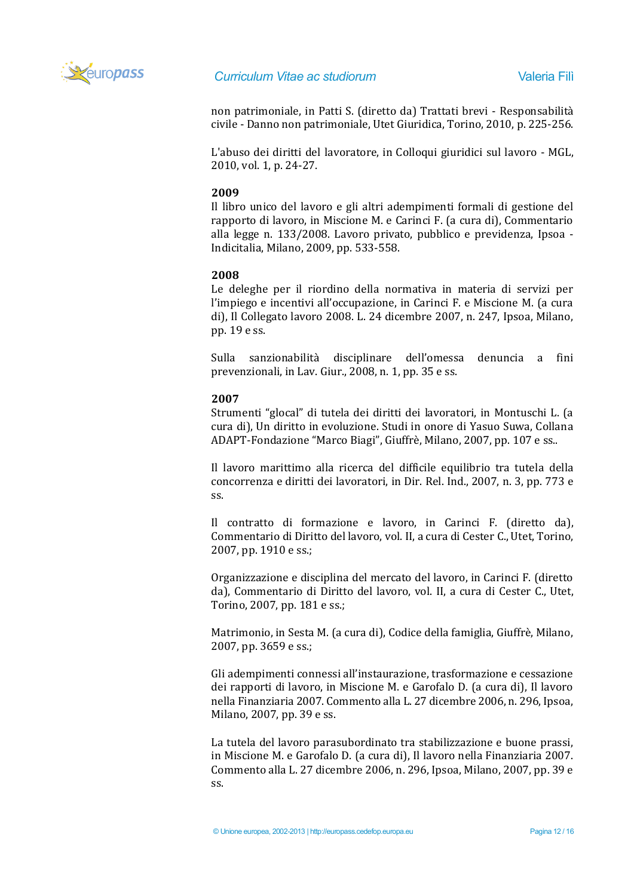

non patrimoniale, in Patti S. (diretto da) Trattati brevi - Responsabilità civile - Danno non patrimoniale, Utet Giuridica, Torino, 2010, p. 225-256.

L'abuso dei diritti del lavoratore, in Colloqui giuridici sul lavoro - MGL, 2010, vol. 1, p. 24-27.

# **2009**

Il libro unico del lavoro e gli altri adempimenti formali di gestione del rapporto di lavoro, in Miscione M. e Carinci F. (a cura di), Commentario alla legge n. 133/2008. Lavoro privato, pubblico e previdenza, Ipsoa - Indicitalia, Milano, 2009, pp. 533-558.

## **2008**

Le deleghe per il riordino della normativa in materia di servizi per l'impiego e incentivi all'occupazione, in Carinci F. e Miscione M. (a cura di), Il Collegato lavoro 2008. L. 24 dicembre 2007, n. 247, Ipsoa, Milano, pp. 19 e ss.

Sulla sanzionabilità disciplinare dell'omessa denuncia a fini prevenzionali, in Lav. Giur., 2008, n. 1, pp. 35 e ss.

## **2007**

Strumenti "glocal" di tutela dei diritti dei lavoratori, in Montuschi L. (a cura di), Un diritto in evoluzione. Studi in onore di Yasuo Suwa, Collana ADAPT-Fondazione "Marco Biagi", Giuffrè, Milano, 2007, pp. 107 e ss..

Il lavoro marittimo alla ricerca del difficile equilibrio tra tutela della concorrenza e diritti dei lavoratori, in Dir. Rel. Ind., 2007, n. 3, pp. 773 e ss.

Il contratto di formazione e lavoro, in Carinci F. (diretto da), Commentario di Diritto del lavoro, vol. II, a cura di Cester C., Utet, Torino, 2007, pp. 1910 e ss.;

Organizzazione e disciplina del mercato del lavoro, in Carinci F. (diretto da), Commentario di Diritto del lavoro, vol. II, a cura di Cester C., Utet, Torino, 2007, pp. 181 e ss.;

Matrimonio, in Sesta M. (a cura di), Codice della famiglia, Giuffrè, Milano, 2007, pp. 3659 e ss.;

Gli adempimenti connessi all'instaurazione, trasformazione e cessazione dei rapporti di lavoro, in Miscione M. e Garofalo D. (a cura di), Il lavoro nella Finanziaria 2007. Commento alla L. 27 dicembre 2006, n. 296, Ipsoa, Milano, 2007, pp. 39 e ss.

La tutela del lavoro parasubordinato tra stabilizzazione e buone prassi, in Miscione M. e Garofalo D. (a cura di), Il lavoro nella Finanziaria 2007. Commento alla L. 27 dicembre 2006, n. 296, Ipsoa, Milano, 2007, pp. 39 e ss.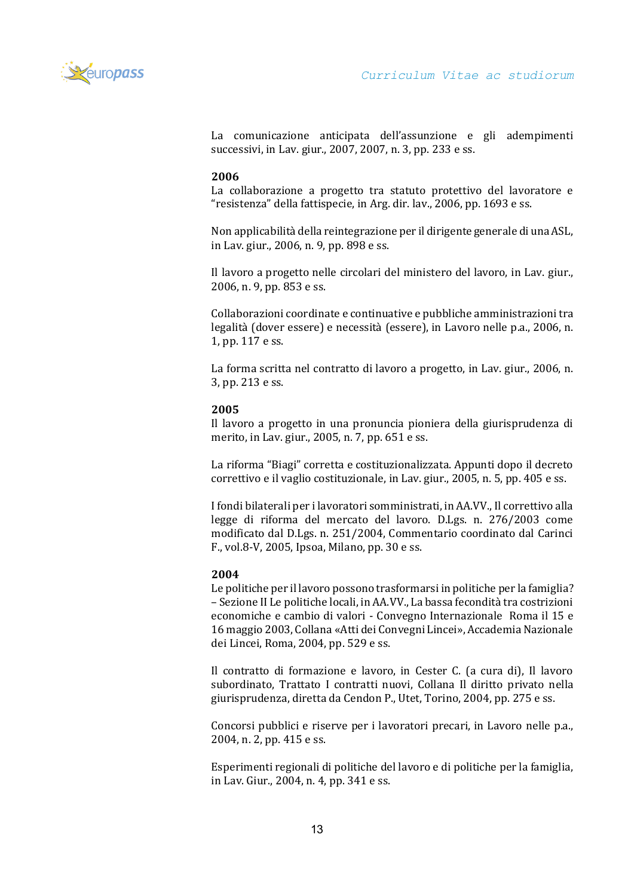

La comunicazione anticipata dell'assunzione e gli adempimenti successivi, in Lav. giur., 2007, 2007, n. 3, pp. 233 e ss.

#### **2006**

La collaborazione a progetto tra statuto protettivo del lavoratore e "resistenza" della fattispecie, in Arg. dir. lav., 2006, pp. 1693 e ss.

Non applicabilità della reintegrazione per il dirigente generale di una ASL, in Lav. giur., 2006, n. 9, pp. 898 e ss.

Il lavoro a progetto nelle circolari del ministero del lavoro, in Lav. giur., 2006, n. 9, pp. 853 e ss.

Collaborazioni coordinate e continuative e pubbliche amministrazioni tra legalità (dover essere) e necessità (essere), in Lavoro nelle p.a., 2006, n. 1, pp. 117 e ss.

La forma scritta nel contratto di lavoro a progetto, in Lav. giur., 2006, n. 3, pp. 213 e ss.

#### **2005**

Il lavoro a progetto in una pronuncia pioniera della giurisprudenza di merito, in Lav. giur., 2005, n. 7, pp. 651 e ss.

La riforma "Biagi" corretta e costituzionalizzata. Appunti dopo il decreto correttivo e il vaglio costituzionale, in Lav. giur., 2005, n. 5, pp. 405 e ss.

I fondi bilaterali per i lavoratori somministrati, in AA.VV., Il correttivo alla legge di riforma del mercato del lavoro. D.Lgs. n. 276/2003 come modificato dal D.Lgs. n. 251/2004, Commentario coordinato dal Carinci F., vol.8-V, 2005, Ipsoa, Milano, pp. 30 e ss.

#### **2004**

Le politiche per il lavoro possono trasformarsi in politiche per la famiglia? – Sezione II Le politiche locali, in AA.VV., La bassa fecondità tra costrizioni economiche e cambio di valori - Convegno Internazionale Roma il 15 e 16 maggio 2003, Collana «Atti dei Convegni Lincei», Accademia Nazionale dei Lincei, Roma, 2004, pp. 529 e ss.

Il contratto di formazione e lavoro, in Cester C. (a cura di), Il lavoro subordinato, Trattato I contratti nuovi, Collana Il diritto privato nella giurisprudenza, diretta da Cendon P., Utet, Torino, 2004, pp. 275 e ss.

Concorsi pubblici e riserve per i lavoratori precari, in Lavoro nelle p.a., 2004, n. 2, pp. 415 e ss.

Esperimenti regionali di politiche del lavoro e di politiche per la famiglia, in Lav. Giur., 2004, n. 4, pp. 341 e ss.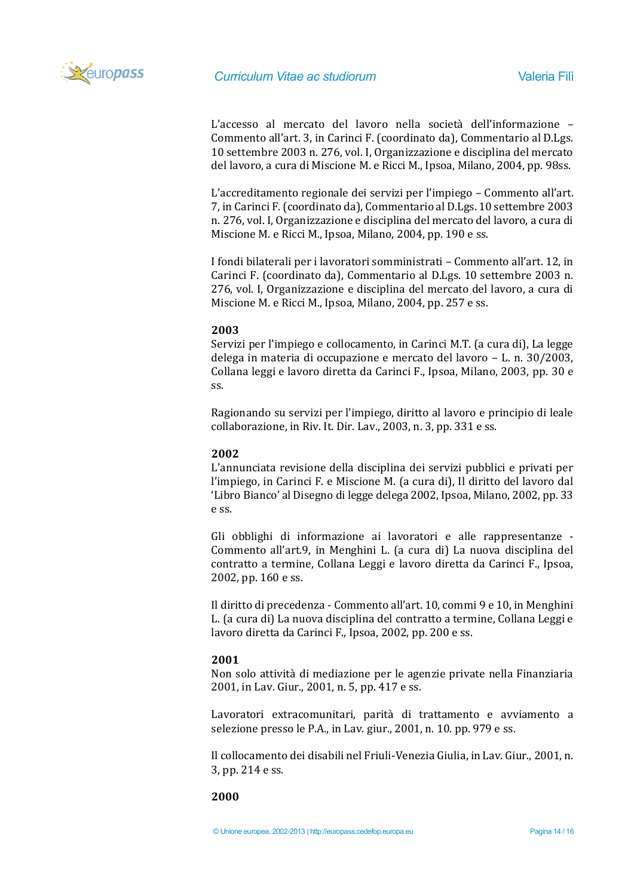

L'accesso al mercato del lavoro nella società dell'informazione – Commento all'art. 3, in Carinci F. (coordinato da), Commentario al D.Lgs. 10 settembre 2003 n. 276, vol. I, Organizzazione e disciplina del mercato del lavoro, a cura di Miscione M. e Ricci M., Ipsoa, Milano, 2004, pp. 98ss.

L'accreditamento regionale dei servizi per l'impiego – Commento all'art. 7, in Carinci F. (coordinato da), Commentario al D.Lgs. 10 settembre 2003 n. 276, vol. I, Organizzazione e disciplina del mercato del lavoro, a cura di Miscione M. e Ricci M., Ipsoa, Milano, 2004, pp. 190 e ss.

I fondi bilaterali per i lavoratori somministrati – Commento all'art. 12, in Carinci F. (coordinato da), Commentario al D.Lgs. 10 settembre 2003 n. 276, vol. I, Organizzazione e disciplina del mercato del lavoro, a cura di Miscione M. e Ricci M., Ipsoa, Milano, 2004, pp. 257 e ss.

## **2003**

Servizi per l'impiego e collocamento, in Carinci M.T. (a cura di), La legge delega in materia di occupazione e mercato del lavoro – L. n. 30/2003, Collana leggi e lavoro diretta da Carinci F., Ipsoa, Milano, 2003, pp. 30 e ss.

Ragionando su servizi per l'impiego, diritto al lavoro e principio di leale collaborazione, in Riv. It. Dir. Lav., 2003, n. 3, pp. 331 e ss.

## **2002**

L'annunciata revisione della disciplina dei servizi pubblici e privati per l'impiego, in Carinci F. e Miscione M. (a cura di), Il diritto del lavoro dal 'Libro Bianco' al Disegno di legge delega 2002, Ipsoa, Milano, 2002, pp. 33 e ss.

Gli obblighi di informazione ai lavoratori e alle rappresentanze - Commento all'art.9, in Menghini L. (a cura di) La nuova disciplina del contratto a termine, Collana Leggi e lavoro diretta da Carinci F., Ipsoa, 2002, pp. 160 e ss.

Il diritto di precedenza - Commento all'art. 10, commi 9 e 10, in Menghini L. (a cura di) La nuova disciplina del contratto a termine, Collana Leggi e lavoro diretta da Carinci F., Ipsoa, 2002, pp. 200 e ss.

#### **2001**

Non solo attività di mediazione per le agenzie private nella Finanziaria 2001, in Lav. Giur., 2001, n. 5, pp. 417 e ss.

Lavoratori extracomunitari, parità di trattamento e avviamento a selezione presso le P.A., in Lav. giur., 2001, n. 10. pp. 979 e ss.

Il collocamento dei disabili nel Friuli-Venezia Giulia, in Lav. Giur., 2001, n. 3, pp. 214 e ss.

#### **2000**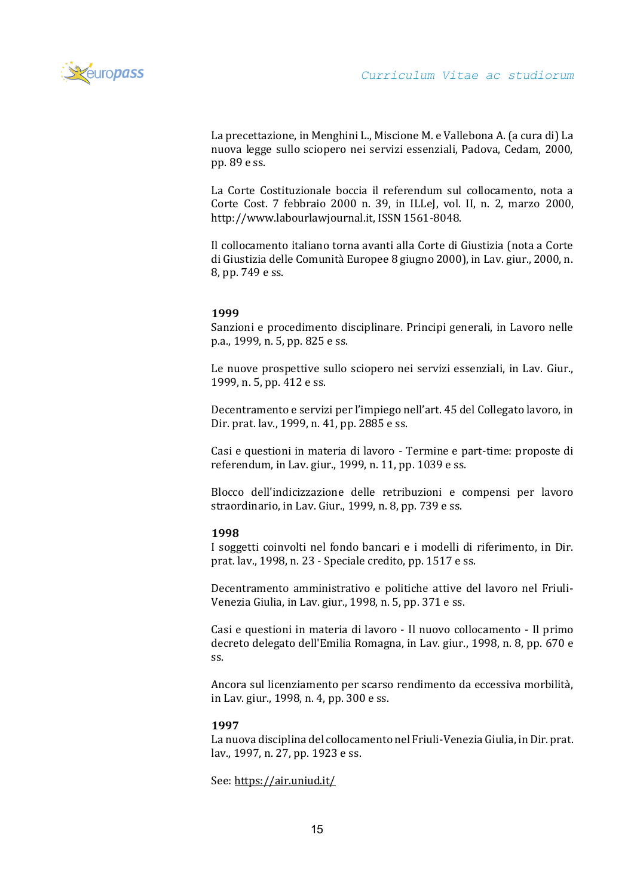

La precettazione, in Menghini L., Miscione M. e Vallebona A. (a cura di) La nuova legge sullo sciopero nei servizi essenziali, Padova, Cedam, 2000, pp. 89 e ss.

La Corte Costituzionale boccia il referendum sul collocamento, nota a Corte Cost. 7 febbraio 2000 n. 39, in ILLeJ, vol. II, n. 2, marzo 2000, http://www.labourlawjournal.it, ISSN 1561-8048.

Il collocamento italiano torna avanti alla Corte di Giustizia (nota a Corte di Giustizia delle Comunità Europee 8 giugno 2000), in Lav. giur., 2000, n. 8, pp. 749 e ss.

# **1999**

Sanzioni e procedimento disciplinare. Principi generali, in Lavoro nelle p.a., 1999, n. 5, pp. 825 e ss.

Le nuove prospettive sullo sciopero nei servizi essenziali, in Lav. Giur., 1999, n. 5, pp. 412 e ss.

Decentramento e servizi per l'impiego nell'art. 45 del Collegato lavoro, in Dir. prat. lav., 1999, n. 41, pp. 2885 e ss.

Casi e questioni in materia di lavoro - Termine e part-time: proposte di referendum, in Lav. giur., 1999, n. 11, pp. 1039 e ss.

Blocco dell'indicizzazione delle retribuzioni e compensi per lavoro straordinario, in Lav. Giur., 1999, n. 8, pp. 739 e ss.

# **1998**

I soggetti coinvolti nel fondo bancari e i modelli di riferimento, in Dir. prat. lav., 1998, n. 23 - Speciale credito, pp. 1517 e ss.

Decentramento amministrativo e politiche attive del lavoro nel Friuli-Venezia Giulia, in Lav. giur., 1998, n. 5, pp. 371 e ss.

Casi e questioni in materia di lavoro - Il nuovo collocamento - Il primo decreto delegato dell'Emilia Romagna, in Lav. giur., 1998, n. 8, pp. 670 e ss.

Ancora sul licenziamento per scarso rendimento da eccessiva morbilità, in Lav. giur., 1998, n. 4, pp. 300 e ss.

# **1997**

La nuova disciplina del collocamento nel Friuli-Venezia Giulia, in Dir. prat. lav., 1997, n. 27, pp. 1923 e ss.

See:<https://air.uniud.it/>